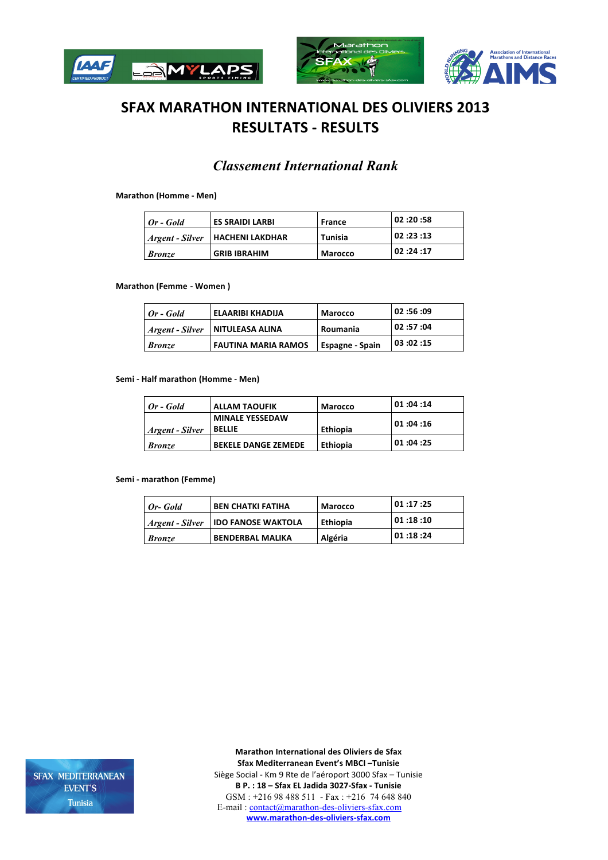





# **SFAX MARATHON INTERNATIONAL DES OLIVIERS 2013 RESULTATS - RESULTS**

# *Classement International Rank*

#### **Marathon (Homme - Men)**

| Or - Gold       | <b>ES SRAIDI LARBI</b> | France         | 02:20:58 |
|-----------------|------------------------|----------------|----------|
| Argent - Silver | <b>HACHENI LAKDHAR</b> | Tunisia        | 02:23:13 |
| <b>Bronze</b>   | <b>GRIB IBRAHIM</b>    | <b>Marocco</b> | 02:24:17 |

**Marathon (Femme - Women)** 

| Or - Gold       | ELAARIBI KHADIJA           | <b>Marocco</b>         | 09: 56: 02 ا |
|-----------------|----------------------------|------------------------|--------------|
| Argent - Silver | NITULEASA ALINA            | Roumania               | 02:57:04     |
| <b>Bronze</b>   | <b>FAUTINA MARIA RAMOS</b> | <b>Espagne - Spain</b> | 103:02:15    |

#### **Semi** - Half marathon (Homme - Men)

| $Or - Gold$     | <b>ALLAM TAOUFIK</b>                    | Marocco         | 01:04:14 |
|-----------------|-----------------------------------------|-----------------|----------|
| Argent - Silver | <b>MINALE YESSEDAW</b><br><b>BELLIE</b> | Ethiopia        | 01:04:16 |
| <b>Bronze</b>   | <b>BEKELE DANGE ZEMEDE</b>              | <b>Ethiopia</b> | 01:04:25 |

#### **Semi - marathon (Femme)**

| Or-Gold         | <b>BEN CHATKI FATIHA</b>  | <b>Marocco</b> | 01:17:25   |
|-----------------|---------------------------|----------------|------------|
| Argent - Silver | <b>IDO FANOSE WAKTOLA</b> | Ethiopia       | 01 :18 :10 |
| <b>Bronze</b>   | <b>BENDERBAL MALIKA</b>   | Algéria        | 01 :18 :24 |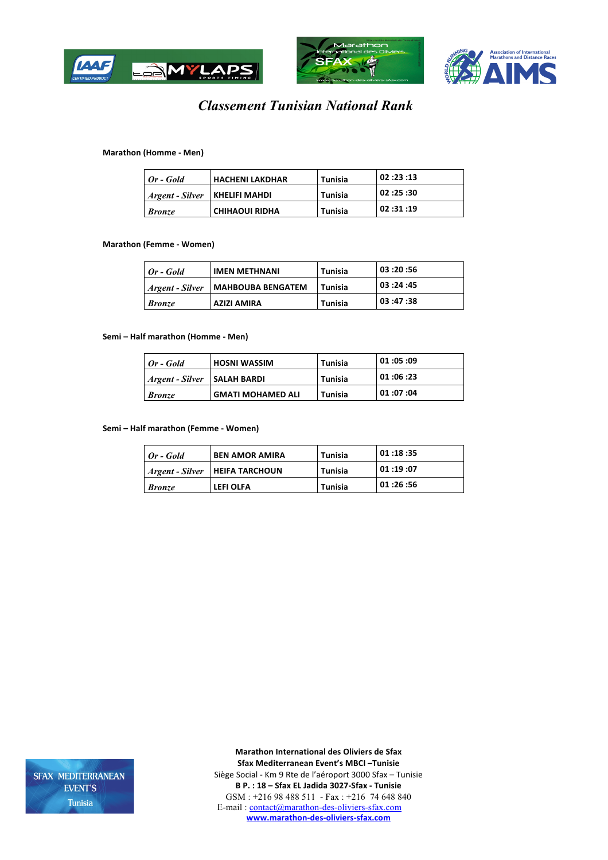





# *Classement Tunisian National Rank*

#### **Marathon (Homme - Men)**

| Or - Gold       | <b>HACHENI LAKDHAR</b> | Tunisia | 02:23:13     |
|-----------------|------------------------|---------|--------------|
| Argent - Silver | <b>KHELIFI MAHDI</b>   | Tunisia | 30: 25: 02 ا |
| <b>Bronze</b>   | <b>CHIHAOUI RIDHA</b>  | Tunisia | 02:31:19     |

#### **Marathon (Femme - Women)**

| $I$ <i>Or - Gold</i>   | <b>IMEN METHNANI</b>     | <b>Tunisia</b> | 03:20:56 |
|------------------------|--------------------------|----------------|----------|
| <i>Argent - Silver</i> | <b>MAHBOUBA BENGATEM</b> | Tunisia        | 03:24:45 |
| <b>Bronze</b>          | <b>AZIZI AMIRA</b>       | <b>Tunisia</b> | 03:47:38 |

#### **Semi** – Half marathon (Homme - Men)

| Or - Gold       | <b>HOSNI WASSIM</b>      | Tunisia | 01:05:09 |
|-----------------|--------------------------|---------|----------|
| Argent - Silver | <b>SALAH BARDI</b>       | Tunisia | 01:06:23 |
| <b>Bronze</b>   | <b>GMATI MOHAMED ALI</b> | Tunisia | 01:07:04 |

**Semi** – Half marathon (Femme - Women)

| Or - Gold       | <b>BEN AMOR AMIRA</b> | Tunisia        | 01:18:35 |
|-----------------|-----------------------|----------------|----------|
| Argent - Silver | <b>HEIFA TARCHOUN</b> | <b>Tunisia</b> | 01:19:07 |
| <b>Bronze</b>   | LEFI OLFA             | <b>Tunisia</b> | 01:26:56 |